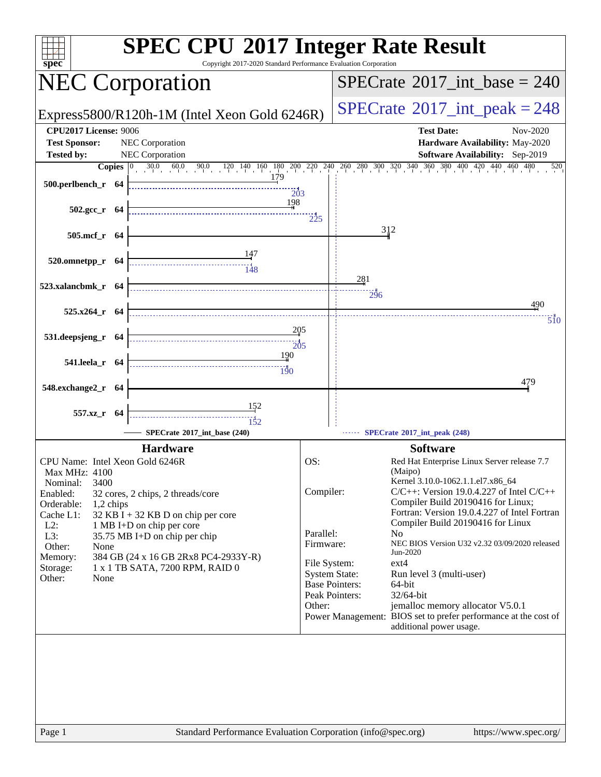| Copyright 2017-2020 Standard Performance Evaluation Corporation<br>spec <sup>®</sup>                                                                                                                                                                                                                                                                                                                                                          | <b>SPEC CPU®2017 Integer Rate Result</b>                                                                                                                                                                                                                                                                                                                                                                                                                                                                                                                                                                                                                                                                               |
|-----------------------------------------------------------------------------------------------------------------------------------------------------------------------------------------------------------------------------------------------------------------------------------------------------------------------------------------------------------------------------------------------------------------------------------------------|------------------------------------------------------------------------------------------------------------------------------------------------------------------------------------------------------------------------------------------------------------------------------------------------------------------------------------------------------------------------------------------------------------------------------------------------------------------------------------------------------------------------------------------------------------------------------------------------------------------------------------------------------------------------------------------------------------------------|
| <b>NEC Corporation</b>                                                                                                                                                                                                                                                                                                                                                                                                                        | $SPECrate^{\circ}2017\_int\_base = 240$                                                                                                                                                                                                                                                                                                                                                                                                                                                                                                                                                                                                                                                                                |
| Express5800/R120h-1M (Intel Xeon Gold 6246R)                                                                                                                                                                                                                                                                                                                                                                                                  | $SPECrate^{\circ}2017\_int\_peak = 248$                                                                                                                                                                                                                                                                                                                                                                                                                                                                                                                                                                                                                                                                                |
| CPU2017 License: 9006<br><b>NEC</b> Corporation<br><b>Test Sponsor:</b><br>NEC Corporation<br><b>Tested by:</b><br>179                                                                                                                                                                                                                                                                                                                        | <b>Test Date:</b><br>Nov-2020<br>Hardware Availability: May-2020<br>Software Availability: Sep-2019<br><b>Copies</b> $\begin{bmatrix} 0 & 30.0 & 60.0 & 90.0 & 120 & 140 & 160 & 180 & 200 & 220 & 240 & 260 & 300 & 320 & 340 & 360 & 380 & 400 & 420 & 440 & 460 & 480 \end{bmatrix}$<br>520                                                                                                                                                                                                                                                                                                                                                                                                                         |
| 500.perlbench_r 64<br>203<br>198<br>$502.\text{gcc}_r$ 64<br>505.mcf_r 64                                                                                                                                                                                                                                                                                                                                                                     | $\frac{1}{225}$<br>312                                                                                                                                                                                                                                                                                                                                                                                                                                                                                                                                                                                                                                                                                                 |
| 520.omnetpp_r 64<br>523.xalancbmk_r 64                                                                                                                                                                                                                                                                                                                                                                                                        | 281<br>296<br>490                                                                                                                                                                                                                                                                                                                                                                                                                                                                                                                                                                                                                                                                                                      |
| $525.x264$ r 64<br>205<br>531.deepsjeng_r 64<br>$\frac{1}{205}$<br>190<br>541.leela_r 64<br>$\frac{1}{190}$                                                                                                                                                                                                                                                                                                                                   | 510                                                                                                                                                                                                                                                                                                                                                                                                                                                                                                                                                                                                                                                                                                                    |
| 548.exchange2_r 64<br>152<br>557.xz_r 64<br>152<br>SPECrate*2017_int_base (240)                                                                                                                                                                                                                                                                                                                                                               | 479<br>SPECrate®2017_int_peak (248)                                                                                                                                                                                                                                                                                                                                                                                                                                                                                                                                                                                                                                                                                    |
| <b>Hardware</b><br>CPU Name: Intel Xeon Gold 6246R<br>Max MHz: 4100<br>3400<br>Nominal:<br>Enabled:<br>32 cores, 2 chips, 2 threads/core<br>Orderable:<br>1,2 chips<br>Cache L1:<br>$32$ KB I + 32 KB D on chip per core<br>$L2$ :<br>1 MB I+D on chip per core<br>L3:<br>35.75 MB I+D on chip per chip<br>Other:<br>None<br>384 GB (24 x 16 GB 2Rx8 PC4-2933Y-R)<br>Memory:<br>1 x 1 TB SATA, 7200 RPM, RAID 0<br>Storage:<br>Other:<br>None | <b>Software</b><br>OS:<br>Red Hat Enterprise Linux Server release 7.7<br>(Maipo)<br>Kernel 3.10.0-1062.1.1.el7.x86_64<br>Compiler:<br>$C/C++$ : Version 19.0.4.227 of Intel $C/C++$<br>Compiler Build 20190416 for Linux;<br>Fortran: Version 19.0.4.227 of Intel Fortran<br>Compiler Build 20190416 for Linux<br>Parallel:<br>N <sub>0</sub><br>NEC BIOS Version U32 v2.32 03/09/2020 released<br>Firmware:<br>Jun-2020<br>File System:<br>$ext{4}$<br><b>System State:</b><br>Run level 3 (multi-user)<br><b>Base Pointers:</b><br>64-bit<br>Peak Pointers:<br>32/64-bit<br>Other:<br>jemalloc memory allocator V5.0.1<br>Power Management: BIOS set to prefer performance at the cost of<br>additional power usage. |
| Standard Performance Evaluation Corporation (info@spec.org)<br>Page 1                                                                                                                                                                                                                                                                                                                                                                         | https://www.spec.org/                                                                                                                                                                                                                                                                                                                                                                                                                                                                                                                                                                                                                                                                                                  |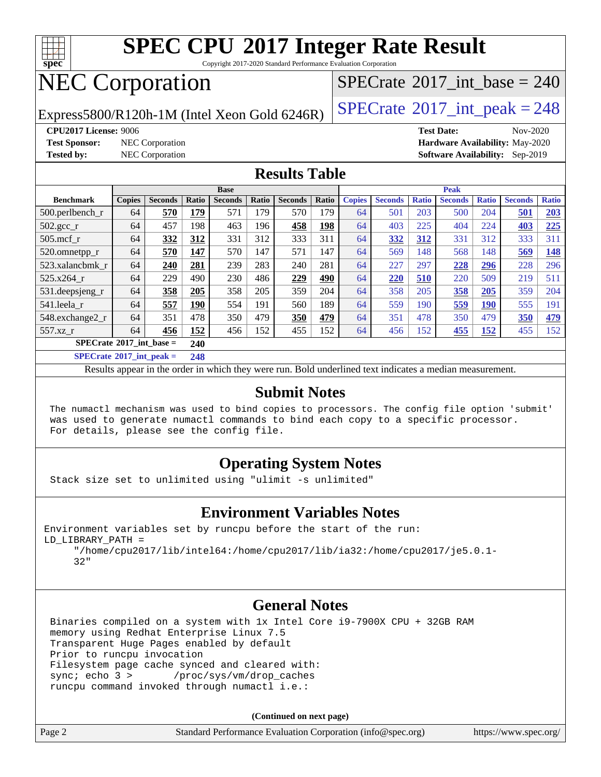

Copyright 2017-2020 Standard Performance Evaluation Corporation

# NEC Corporation

Express5800/R120h-1M (Intel Xeon Gold 6246R)  $\left|$  [SPECrate](http://www.spec.org/auto/cpu2017/Docs/result-fields.html#SPECrate2017intpeak)<sup>®</sup>[2017\\_int\\_peak = 2](http://www.spec.org/auto/cpu2017/Docs/result-fields.html#SPECrate2017intpeak)48

 $SPECTate$ <sup>®</sup>[2017\\_int\\_base =](http://www.spec.org/auto/cpu2017/Docs/result-fields.html#SPECrate2017intbase) 240

**[CPU2017 License:](http://www.spec.org/auto/cpu2017/Docs/result-fields.html#CPU2017License)** 9006 **[Test Date:](http://www.spec.org/auto/cpu2017/Docs/result-fields.html#TestDate)** Nov-2020 **[Test Sponsor:](http://www.spec.org/auto/cpu2017/Docs/result-fields.html#TestSponsor)** NEC Corporation **[Hardware Availability:](http://www.spec.org/auto/cpu2017/Docs/result-fields.html#HardwareAvailability)** May-2020 **[Tested by:](http://www.spec.org/auto/cpu2017/Docs/result-fields.html#Testedby)** NEC Corporation **[Software Availability:](http://www.spec.org/auto/cpu2017/Docs/result-fields.html#SoftwareAvailability)** Sep-2019

#### **[Results Table](http://www.spec.org/auto/cpu2017/Docs/result-fields.html#ResultsTable)**

|                                                | <b>Base</b>   |                |            |                |       | <b>Peak</b>    |       |               |                |              |                |              |                |              |
|------------------------------------------------|---------------|----------------|------------|----------------|-------|----------------|-------|---------------|----------------|--------------|----------------|--------------|----------------|--------------|
| <b>Benchmark</b>                               | <b>Copies</b> | <b>Seconds</b> | Ratio      | <b>Seconds</b> | Ratio | <b>Seconds</b> | Ratio | <b>Copies</b> | <b>Seconds</b> | <b>Ratio</b> | <b>Seconds</b> | <b>Ratio</b> | <b>Seconds</b> | <b>Ratio</b> |
| 500.perlbench_r                                | 64            | 570            | <b>179</b> | 571            | 179   | 570            | 179   | 64            | 501            | 203          | 500            | 204          | 501            | 203          |
| $502.\text{gcc}$ <sub>r</sub>                  | 64            | 457            | 198        | 463            | 196   | 458            | 198   | 64            | 403            | 225          | 404            | 224          | 403            | 225          |
| $505$ .mcf r                                   | 64            | 332            | 312        | 331            | 312   | 333            | 311   | 64            | 332            | 312          | 331            | 312          | 333            | 311          |
| 520.omnetpp_r                                  | 64            | 570            | 147        | 570            | 147   | 571            | 147   | 64            | 569            | 148          | 568            | 148          | 569            | <u>148</u>   |
| 523.xalancbmk r                                | 64            | 240            | 281        | 239            | 283   | 240            | 281   | 64            | 227            | 297          | 228            | 296          | 228            | 296          |
| 525.x264 r                                     | 64            | 229            | 490        | 230            | 486   | 229            | 490   | 64            | 220            | 510          | 220            | 509          | 219            | 511          |
| 531.deepsjeng_r                                | 64            | 358            | 205        | 358            | 205   | 359            | 204   | 64            | 358            | 205          | 358            | 205          | 359            | 204          |
| 541.leela r                                    | 64            | 557            | 190        | 554            | 191   | 560            | 189   | 64            | 559            | 190          | 559            | <b>190</b>   | 555            | 191          |
| 548.exchange2_r                                | 64            | 351            | 478        | 350            | 479   | 350            | 479   | 64            | 351            | 478          | 350            | 479          | 350            | 479          |
| 557.xz r                                       | 64            | 456            | 152        | 456            | 152   | 455            | 152   | 64            | 456            | 152          | 455            | <u>152</u>   | 455            | 152          |
| $SPECrate^{\circ}2017$ int base =              |               |                | 240        |                |       |                |       |               |                |              |                |              |                |              |
| $CDFC_{\text{mod}} \otimes 2017$ intervals $=$ |               |                | 240        |                |       |                |       |               |                |              |                |              |                |              |

**[SPECrate](http://www.spec.org/auto/cpu2017/Docs/result-fields.html#SPECrate2017intpeak)[2017\\_int\\_peak =](http://www.spec.org/auto/cpu2017/Docs/result-fields.html#SPECrate2017intpeak) 248**

Results appear in the [order in which they were run](http://www.spec.org/auto/cpu2017/Docs/result-fields.html#RunOrder). Bold underlined text [indicates a median measurement](http://www.spec.org/auto/cpu2017/Docs/result-fields.html#Median).

#### **[Submit Notes](http://www.spec.org/auto/cpu2017/Docs/result-fields.html#SubmitNotes)**

 The numactl mechanism was used to bind copies to processors. The config file option 'submit' was used to generate numactl commands to bind each copy to a specific processor. For details, please see the config file.

### **[Operating System Notes](http://www.spec.org/auto/cpu2017/Docs/result-fields.html#OperatingSystemNotes)**

Stack size set to unlimited using "ulimit -s unlimited"

### **[Environment Variables Notes](http://www.spec.org/auto/cpu2017/Docs/result-fields.html#EnvironmentVariablesNotes)**

Environment variables set by runcpu before the start of the run: LD\_LIBRARY\_PATH =

 "/home/cpu2017/lib/intel64:/home/cpu2017/lib/ia32:/home/cpu2017/je5.0.1- 32"

### **[General Notes](http://www.spec.org/auto/cpu2017/Docs/result-fields.html#GeneralNotes)**

 Binaries compiled on a system with 1x Intel Core i9-7900X CPU + 32GB RAM memory using Redhat Enterprise Linux 7.5 Transparent Huge Pages enabled by default Prior to runcpu invocation Filesystem page cache synced and cleared with: sync; echo 3 > /proc/sys/vm/drop\_caches runcpu command invoked through numactl i.e.:

**(Continued on next page)**

| Page 2 | Standard Performance Evaluation Corporation (info@spec.org) | https://www.spec.org/ |
|--------|-------------------------------------------------------------|-----------------------|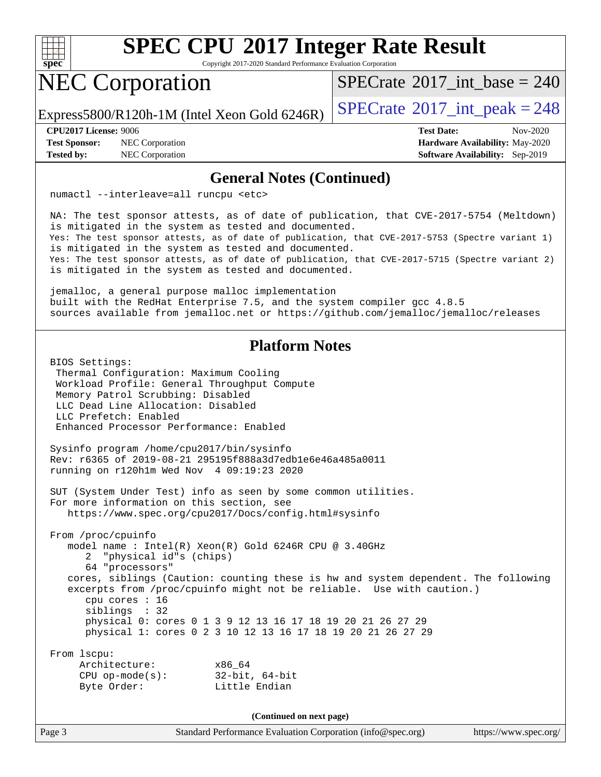

Copyright 2017-2020 Standard Performance Evaluation Corporation

## NEC Corporation

 $SPECTate$ <sup>®</sup>[2017\\_int\\_base =](http://www.spec.org/auto/cpu2017/Docs/result-fields.html#SPECrate2017intbase) 240

Express5800/R120h-1M (Intel Xeon Gold 6246R)  $\left|$  [SPECrate](http://www.spec.org/auto/cpu2017/Docs/result-fields.html#SPECrate2017intpeak)<sup>®</sup>[2017\\_int\\_peak = 2](http://www.spec.org/auto/cpu2017/Docs/result-fields.html#SPECrate2017intpeak)48

**[Test Sponsor:](http://www.spec.org/auto/cpu2017/Docs/result-fields.html#TestSponsor)** NEC Corporation **[Hardware Availability:](http://www.spec.org/auto/cpu2017/Docs/result-fields.html#HardwareAvailability)** May-2020

**[CPU2017 License:](http://www.spec.org/auto/cpu2017/Docs/result-fields.html#CPU2017License)** 9006 **[Test Date:](http://www.spec.org/auto/cpu2017/Docs/result-fields.html#TestDate)** Nov-2020 **[Tested by:](http://www.spec.org/auto/cpu2017/Docs/result-fields.html#Testedby)** NEC Corporation **[Software Availability:](http://www.spec.org/auto/cpu2017/Docs/result-fields.html#SoftwareAvailability)** Sep-2019

#### **[General Notes \(Continued\)](http://www.spec.org/auto/cpu2017/Docs/result-fields.html#GeneralNotes)**

numactl --interleave=all runcpu <etc>

 NA: The test sponsor attests, as of date of publication, that CVE-2017-5754 (Meltdown) is mitigated in the system as tested and documented. Yes: The test sponsor attests, as of date of publication, that CVE-2017-5753 (Spectre variant 1) is mitigated in the system as tested and documented. Yes: The test sponsor attests, as of date of publication, that CVE-2017-5715 (Spectre variant 2) is mitigated in the system as tested and documented.

 jemalloc, a general purpose malloc implementation built with the RedHat Enterprise 7.5, and the system compiler gcc 4.8.5 sources available from jemalloc.net or<https://github.com/jemalloc/jemalloc/releases>

### **[Platform Notes](http://www.spec.org/auto/cpu2017/Docs/result-fields.html#PlatformNotes)**

 BIOS Settings: Thermal Configuration: Maximum Cooling Workload Profile: General Throughput Compute Memory Patrol Scrubbing: Disabled LLC Dead Line Allocation: Disabled LLC Prefetch: Enabled Enhanced Processor Performance: Enabled Sysinfo program /home/cpu2017/bin/sysinfo Rev: r6365 of 2019-08-21 295195f888a3d7edb1e6e46a485a0011 running on r120h1m Wed Nov 4 09:19:23 2020 SUT (System Under Test) info as seen by some common utilities. For more information on this section, see <https://www.spec.org/cpu2017/Docs/config.html#sysinfo> From /proc/cpuinfo model name : Intel(R) Xeon(R) Gold 6246R CPU @ 3.40GHz 2 "physical id"s (chips) 64 "processors" cores, siblings (Caution: counting these is hw and system dependent. The following excerpts from /proc/cpuinfo might not be reliable. Use with caution.) cpu cores : 16 siblings : 32 physical 0: cores 0 1 3 9 12 13 16 17 18 19 20 21 26 27 29 physical 1: cores 0 2 3 10 12 13 16 17 18 19 20 21 26 27 29 From lscpu: Architecture: x86\_64 CPU op-mode(s): 32-bit, 64-bit Byte Order: Little Endian

**(Continued on next page)**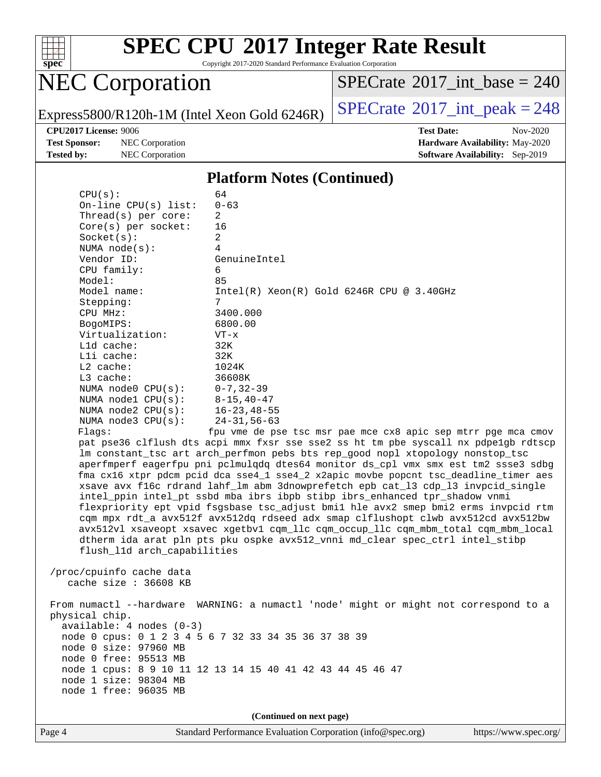

Copyright 2017-2020 Standard Performance Evaluation Corporation

# NEC Corporation

 $SPECrate$ <sup>®</sup>[2017\\_int\\_base =](http://www.spec.org/auto/cpu2017/Docs/result-fields.html#SPECrate2017intbase) 240

Express5800/R120h-1M (Intel Xeon Gold 6246R)  $\left|$  [SPECrate](http://www.spec.org/auto/cpu2017/Docs/result-fields.html#SPECrate2017intpeak)<sup>®</sup>[2017\\_int\\_peak = 2](http://www.spec.org/auto/cpu2017/Docs/result-fields.html#SPECrate2017intpeak)48

**[Test Sponsor:](http://www.spec.org/auto/cpu2017/Docs/result-fields.html#TestSponsor)** NEC Corporation **[Hardware Availability:](http://www.spec.org/auto/cpu2017/Docs/result-fields.html#HardwareAvailability)** May-2020

**[CPU2017 License:](http://www.spec.org/auto/cpu2017/Docs/result-fields.html#CPU2017License)** 9006 **[Test Date:](http://www.spec.org/auto/cpu2017/Docs/result-fields.html#TestDate)** Nov-2020 **[Tested by:](http://www.spec.org/auto/cpu2017/Docs/result-fields.html#Testedby)** NEC Corporation **[Software Availability:](http://www.spec.org/auto/cpu2017/Docs/result-fields.html#SoftwareAvailability)** Sep-2019

#### **[Platform Notes \(Continued\)](http://www.spec.org/auto/cpu2017/Docs/result-fields.html#PlatformNotes)**

| CPU(s):                                                                       | 64                                                                                   |  |  |  |  |
|-------------------------------------------------------------------------------|--------------------------------------------------------------------------------------|--|--|--|--|
| $On$ -line CPU $(s)$ list:                                                    | $0 - 63$                                                                             |  |  |  |  |
| Thread( $s$ ) per core:                                                       | 2                                                                                    |  |  |  |  |
| $Core(s)$ per socket:                                                         | 16                                                                                   |  |  |  |  |
| Socket(s):                                                                    | $\overline{a}$                                                                       |  |  |  |  |
| NUMA $node(s):$                                                               | 4                                                                                    |  |  |  |  |
| Vendor ID:                                                                    | GenuineIntel                                                                         |  |  |  |  |
| CPU family:                                                                   | 6                                                                                    |  |  |  |  |
| Model:                                                                        | 85                                                                                   |  |  |  |  |
| Model name:                                                                   | $Intel(R)$ Xeon $(R)$ Gold 6246R CPU @ 3.40GHz                                       |  |  |  |  |
| Stepping:                                                                     | 7                                                                                    |  |  |  |  |
| CPU MHz:                                                                      | 3400.000                                                                             |  |  |  |  |
| BogoMIPS:                                                                     | 6800.00                                                                              |  |  |  |  |
| Virtualization:                                                               | $VT - x$                                                                             |  |  |  |  |
| $L1d$ cache:                                                                  | 32K                                                                                  |  |  |  |  |
| Lli cache:                                                                    | 32K                                                                                  |  |  |  |  |
| $L2$ cache:                                                                   | 1024K                                                                                |  |  |  |  |
| $L3$ cache:                                                                   | 36608K                                                                               |  |  |  |  |
| NUMA node0 CPU(s):                                                            | $0 - 7, 32 - 39$                                                                     |  |  |  |  |
| NUMA nodel $CPU(s):$                                                          | $8 - 15, 40 - 47$                                                                    |  |  |  |  |
| NUMA $node2$ $CPU(s)$ :                                                       | $16 - 23, 48 - 55$                                                                   |  |  |  |  |
| NUMA $node3$ $CPU(s):$                                                        | $24 - 31, 56 - 63$                                                                   |  |  |  |  |
| Flags:                                                                        | fpu vme de pse tsc msr pae mce cx8 apic sep mtrr pge mca cmov                        |  |  |  |  |
|                                                                               | pat pse36 clflush dts acpi mmx fxsr sse sse2 ss ht tm pbe syscall nx pdpelgb rdtscp  |  |  |  |  |
| lm constant_tsc art arch_perfmon pebs bts rep_good nopl xtopology nonstop_tsc |                                                                                      |  |  |  |  |
|                                                                               | aperfmperf eagerfpu pni pclmulqdq dtes64 monitor ds_cpl vmx smx est tm2 ssse3 sdbg   |  |  |  |  |
|                                                                               | fma cx16 xtpr pdcm pcid dca sse4_1 sse4_2 x2apic movbe popcnt tsc_deadline_timer aes |  |  |  |  |
|                                                                               | xsave avx f16c rdrand lahf_lm abm 3dnowprefetch epb cat_13 cdp_13 invpcid_single     |  |  |  |  |
|                                                                               | intel_ppin intel_pt ssbd mba ibrs ibpb stibp ibrs_enhanced tpr_shadow vnmi           |  |  |  |  |
|                                                                               | flexpriority ept vpid fsgsbase tsc_adjust bmil hle avx2 smep bmi2 erms invpcid rtm   |  |  |  |  |
|                                                                               | cqm mpx rdt_a avx512f avx512dq rdseed adx smap clflushopt clwb avx512cd avx512bw     |  |  |  |  |
|                                                                               | avx512vl xsaveopt xsavec xgetbvl cqm_llc cqm_occup_llc cqm_mbm_total cqm_mbm_local   |  |  |  |  |
|                                                                               | dtherm ida arat pln pts pku ospke avx512_vnni md_clear spec_ctrl intel_stibp         |  |  |  |  |
| flush_11d arch_capabilities                                                   |                                                                                      |  |  |  |  |
|                                                                               |                                                                                      |  |  |  |  |
| /proc/cpuinfo cache data                                                      |                                                                                      |  |  |  |  |
| cache size : 36608 KB                                                         |                                                                                      |  |  |  |  |
|                                                                               |                                                                                      |  |  |  |  |
|                                                                               | From numactl --hardware WARNING: a numactl 'node' might or might not correspond to a |  |  |  |  |
| physical chip.                                                                |                                                                                      |  |  |  |  |
| $available: 4 nodes (0-3)$                                                    |                                                                                      |  |  |  |  |
|                                                                               | node 0 cpus: 0 1 2 3 4 5 6 7 32 33 34 35 36 37 38 39                                 |  |  |  |  |
| node 0 size: 97960 MB                                                         |                                                                                      |  |  |  |  |
| node 0 free: 95513 MB                                                         |                                                                                      |  |  |  |  |
|                                                                               | node 1 cpus: 8 9 10 11 12 13 14 15 40 41 42 43 44 45 46 47                           |  |  |  |  |
| node 1 size: 98304 MB                                                         |                                                                                      |  |  |  |  |
| node 1 free: 96035 MB                                                         |                                                                                      |  |  |  |  |
|                                                                               |                                                                                      |  |  |  |  |
|                                                                               | (Continued on next page)                                                             |  |  |  |  |
|                                                                               |                                                                                      |  |  |  |  |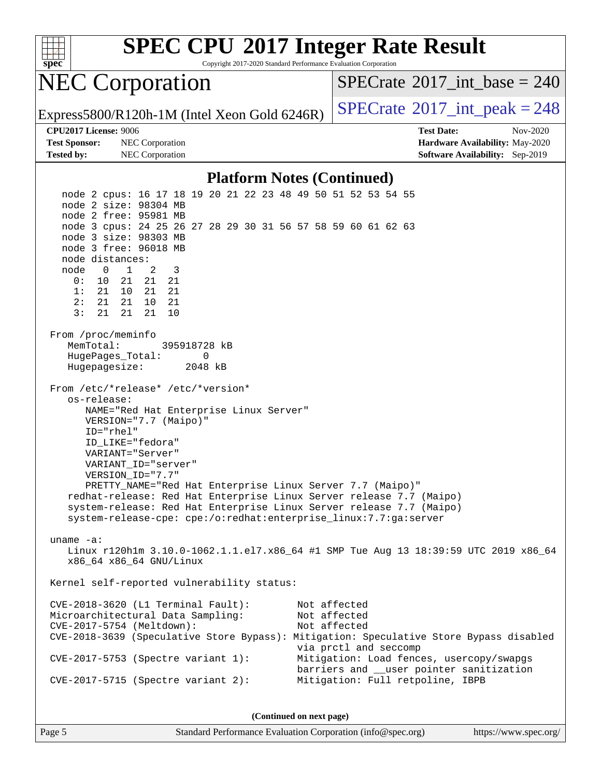

Copyright 2017-2020 Standard Performance Evaluation Corporation

### NEC Corporation

 $SPECTate$ <sup>®</sup>[2017\\_int\\_base =](http://www.spec.org/auto/cpu2017/Docs/result-fields.html#SPECrate2017intbase) 240

Express5800/R120h-1M (Intel Xeon Gold 6246R)  $\vert$  [SPECrate](http://www.spec.org/auto/cpu2017/Docs/result-fields.html#SPECrate2017intpeak)®[2017\\_int\\_peak = 2](http://www.spec.org/auto/cpu2017/Docs/result-fields.html#SPECrate2017intpeak)48

**[Test Sponsor:](http://www.spec.org/auto/cpu2017/Docs/result-fields.html#TestSponsor)** NEC Corporation **[Hardware Availability:](http://www.spec.org/auto/cpu2017/Docs/result-fields.html#HardwareAvailability)** May-2020 **[Tested by:](http://www.spec.org/auto/cpu2017/Docs/result-fields.html#Testedby)** NEC Corporation **[Software Availability:](http://www.spec.org/auto/cpu2017/Docs/result-fields.html#SoftwareAvailability)** Sep-2019

**[CPU2017 License:](http://www.spec.org/auto/cpu2017/Docs/result-fields.html#CPU2017License)** 9006 **[Test Date:](http://www.spec.org/auto/cpu2017/Docs/result-fields.html#TestDate)** Nov-2020

#### **[Platform Notes \(Continued\)](http://www.spec.org/auto/cpu2017/Docs/result-fields.html#PlatformNotes)**

 node 2 cpus: 16 17 18 19 20 21 22 23 48 49 50 51 52 53 54 55 node 2 size: 98304 MB node 2 free: 95981 MB node 3 cpus: 24 25 26 27 28 29 30 31 56 57 58 59 60 61 62 63 node 3 size: 98303 MB node 3 free: 96018 MB node distances: node 0 1 2 3 0: 10 21 21 21 1: 21 10 21 21 2: 21 21 10 21 3: 21 21 21 10 From /proc/meminfo MemTotal: 395918728 kB HugePages\_Total: 0 Hugepagesize: 2048 kB From /etc/\*release\* /etc/\*version\* os-release: NAME="Red Hat Enterprise Linux Server" VERSION="7.7 (Maipo)" ID="rhel" ID\_LIKE="fedora" VARIANT="Server" VARIANT\_ID="server" VERSION\_ID="7.7" PRETTY\_NAME="Red Hat Enterprise Linux Server 7.7 (Maipo)" redhat-release: Red Hat Enterprise Linux Server release 7.7 (Maipo) system-release: Red Hat Enterprise Linux Server release 7.7 (Maipo) system-release-cpe: cpe:/o:redhat:enterprise\_linux:7.7:ga:server uname -a: Linux r120h1m 3.10.0-1062.1.1.el7.x86\_64 #1 SMP Tue Aug 13 18:39:59 UTC 2019 x86\_64 x86\_64 x86\_64 GNU/Linux Kernel self-reported vulnerability status: CVE-2018-3620 (L1 Terminal Fault): Not affected Microarchitectural Data Sampling: Not affected CVE-2017-5754 (Meltdown): Not affected CVE-2018-3639 (Speculative Store Bypass): Mitigation: Speculative Store Bypass disabled via prctl and seccomp CVE-2017-5753 (Spectre variant 1): Mitigation: Load fences, usercopy/swapgs barriers and \_\_user pointer sanitization CVE-2017-5715 (Spectre variant 2): Mitigation: Full retpoline, IBPB

**(Continued on next page)**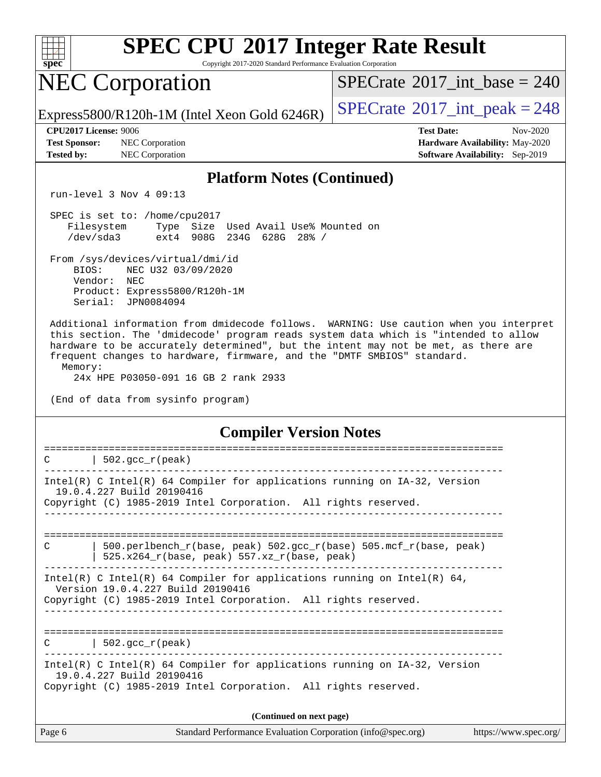

Copyright 2017-2020 Standard Performance Evaluation Corporation

### NEC Corporation

 $SPECTate$ <sup>®</sup>[2017\\_int\\_base =](http://www.spec.org/auto/cpu2017/Docs/result-fields.html#SPECrate2017intbase) 240

Express5800/R120h-1M (Intel Xeon Gold 6246R)  $\left|$  [SPECrate](http://www.spec.org/auto/cpu2017/Docs/result-fields.html#SPECrate2017intpeak)<sup>®</sup>[2017\\_int\\_peak = 2](http://www.spec.org/auto/cpu2017/Docs/result-fields.html#SPECrate2017intpeak)48

**[Test Sponsor:](http://www.spec.org/auto/cpu2017/Docs/result-fields.html#TestSponsor)** NEC Corporation **[Hardware Availability:](http://www.spec.org/auto/cpu2017/Docs/result-fields.html#HardwareAvailability)** May-2020 **[Tested by:](http://www.spec.org/auto/cpu2017/Docs/result-fields.html#Testedby)** NEC Corporation **[Software Availability:](http://www.spec.org/auto/cpu2017/Docs/result-fields.html#SoftwareAvailability)** Sep-2019

**[CPU2017 License:](http://www.spec.org/auto/cpu2017/Docs/result-fields.html#CPU2017License)** 9006 **[Test Date:](http://www.spec.org/auto/cpu2017/Docs/result-fields.html#TestDate)** Nov-2020

#### **[Platform Notes \(Continued\)](http://www.spec.org/auto/cpu2017/Docs/result-fields.html#PlatformNotes)**

run-level 3 Nov 4 09:13

 SPEC is set to: /home/cpu2017 Filesystem Type Size Used Avail Use% Mounted on /dev/sda3 ext4 908G 234G 628G 28% /

 From /sys/devices/virtual/dmi/id BIOS: NEC U32 03/09/2020 Vendor: NEC Product: Express5800/R120h-1M Serial: JPN0084094

 Additional information from dmidecode follows. WARNING: Use caution when you interpret this section. The 'dmidecode' program reads system data which is "intended to allow hardware to be accurately determined", but the intent may not be met, as there are frequent changes to hardware, firmware, and the "DMTF SMBIOS" standard. Memory:

24x HPE P03050-091 16 GB 2 rank 2933

(End of data from sysinfo program)

**[Compiler Version Notes](http://www.spec.org/auto/cpu2017/Docs/result-fields.html#CompilerVersionNotes)**

| Page 6 | Standard Performance Evaluation Corporation (info@spec.org)                                                                                                                      | https://www.spec.org/ |  |  |  |  |
|--------|----------------------------------------------------------------------------------------------------------------------------------------------------------------------------------|-----------------------|--|--|--|--|
|        | (Continued on next page)                                                                                                                                                         |                       |  |  |  |  |
|        | Intel(R) C Intel(R) 64 Compiler for applications running on $IA-32$ , Version<br>19.0.4.227 Build 20190416<br>Copyright (C) 1985-2019 Intel Corporation. All rights reserved.    |                       |  |  |  |  |
|        | $C$   502.gcc_r(peak)                                                                                                                                                            |                       |  |  |  |  |
|        | Intel(R) C Intel(R) 64 Compiler for applications running on Intel(R) 64,<br>Version 19.0.4.227 Build 20190416<br>Copyright (C) 1985-2019 Intel Corporation. All rights reserved. |                       |  |  |  |  |
| C      | 500.perlbench r(base, peak) 502.gcc r(base) 505.mcf r(base, peak)<br>525.x264_r(base, peak) 557.xz_r(base, peak)                                                                 |                       |  |  |  |  |
|        |                                                                                                                                                                                  |                       |  |  |  |  |
|        | Intel(R) C Intel(R) 64 Compiler for applications running on $IA-32$ , Version<br>19.0.4.227 Build 20190416<br>Copyright (C) 1985-2019 Intel Corporation. All rights reserved.    |                       |  |  |  |  |
| C      | $\vert$ 502.gcc_r(peak)                                                                                                                                                          |                       |  |  |  |  |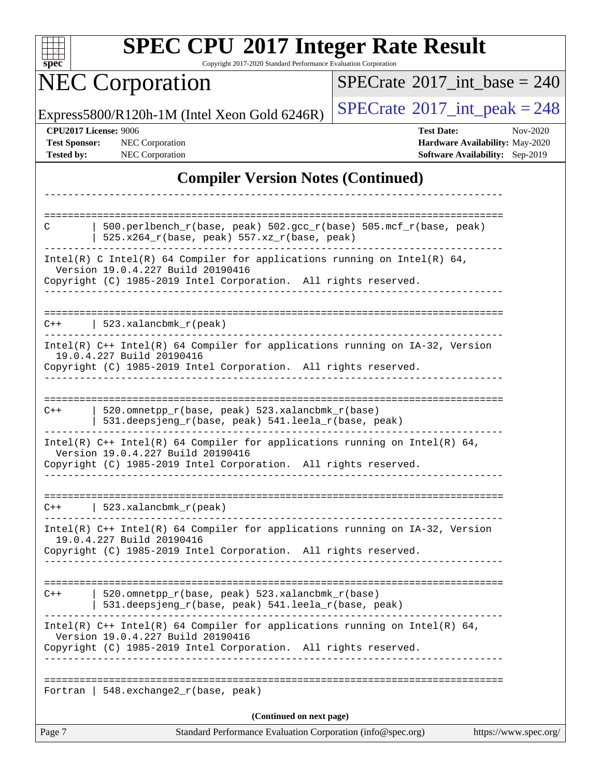| S<br>e<br>11<br>U |  |  |  |  |
|-------------------|--|--|--|--|

Copyright 2017-2020 Standard Performance Evaluation Corporation

# **NEC Corporation**

 $SPECrate$ <sup>®</sup>[2017\\_int\\_base =](http://www.spec.org/auto/cpu2017/Docs/result-fields.html#SPECrate2017intbase) 240

Express5800/R120h-1M (Intel Xeon Gold 6246R)  $\left|$  [SPECrate](http://www.spec.org/auto/cpu2017/Docs/result-fields.html#SPECrate2017intpeak)<sup>®</sup>[2017\\_int\\_peak = 2](http://www.spec.org/auto/cpu2017/Docs/result-fields.html#SPECrate2017intpeak)48

**[CPU2017 License:](http://www.spec.org/auto/cpu2017/Docs/result-fields.html#CPU2017License)** 9006 **[Test Date:](http://www.spec.org/auto/cpu2017/Docs/result-fields.html#TestDate)** Nov-2020 **[Test Sponsor:](http://www.spec.org/auto/cpu2017/Docs/result-fields.html#TestSponsor)** NEC Corporation **[Hardware Availability:](http://www.spec.org/auto/cpu2017/Docs/result-fields.html#HardwareAvailability)** May-2020 **[Tested by:](http://www.spec.org/auto/cpu2017/Docs/result-fields.html#Testedby)** NEC Corporation **[Software Availability:](http://www.spec.org/auto/cpu2017/Docs/result-fields.html#SoftwareAvailability)** Sep-2019

### **[Compiler Version Notes \(Continued\)](http://www.spec.org/auto/cpu2017/Docs/result-fields.html#CompilerVersionNotes)**

| 520.omnetpp_r(base, peak) 523.xalancbmk_r(base)<br>531.deepsjeng_r(base, peak) 541.leela_r(base, peak)<br>Intel(R) $C++$ Intel(R) 64 Compiler for applications running on Intel(R) 64,<br>Version 19.0.4.227 Build 20190416<br>Copyright (C) 1985-2019 Intel Corporation. All rights reserved.<br>  $548.$ exchange $2_r$ (base, peak)<br>(Continued on next page) |
|--------------------------------------------------------------------------------------------------------------------------------------------------------------------------------------------------------------------------------------------------------------------------------------------------------------------------------------------------------------------|
|                                                                                                                                                                                                                                                                                                                                                                    |
|                                                                                                                                                                                                                                                                                                                                                                    |
|                                                                                                                                                                                                                                                                                                                                                                    |
|                                                                                                                                                                                                                                                                                                                                                                    |
|                                                                                                                                                                                                                                                                                                                                                                    |
| $Intel(R)$ C++ Intel(R) 64 Compiler for applications running on IA-32, Version<br>19.0.4.227 Build 20190416<br>Copyright (C) 1985-2019 Intel Corporation. All rights reserved.                                                                                                                                                                                     |
| $C++$   523.xalancbmk_r(peak)                                                                                                                                                                                                                                                                                                                                      |
| Intel(R) $C++$ Intel(R) 64 Compiler for applications running on Intel(R) 64,<br>Version 19.0.4.227 Build 20190416<br>Copyright (C) 1985-2019 Intel Corporation. All rights reserved.                                                                                                                                                                               |
| 520.omnetpp_r(base, peak) 523.xalancbmk_r(base)<br>531.deepsjeng_r(base, peak) 541.leela_r(base, peak)                                                                                                                                                                                                                                                             |
| 19.0.4.227 Build 20190416<br>Copyright (C) 1985-2019 Intel Corporation. All rights reserved.<br>-------------                                                                                                                                                                                                                                                      |
| Intel(R) C++ Intel(R) 64 Compiler for applications running on IA-32, Version                                                                                                                                                                                                                                                                                       |
| $C++$   523.xalancbmk_r(peak)                                                                                                                                                                                                                                                                                                                                      |
| Intel(R) C Intel(R) 64 Compiler for applications running on Intel(R) 64,<br>Version 19.0.4.227 Build 20190416<br>Copyright (C) 1985-2019 Intel Corporation. All rights reserved.<br>ب کا کا کا کا کا کا                                                                                                                                                            |
| $525.x264_r(base, peak) 557.xz_r(base, peak)$                                                                                                                                                                                                                                                                                                                      |
| 500.perlbench_r(base, peak) 502.gcc_r(base) 505.mcf_r(base, peak)                                                                                                                                                                                                                                                                                                  |
|                                                                                                                                                                                                                                                                                                                                                                    |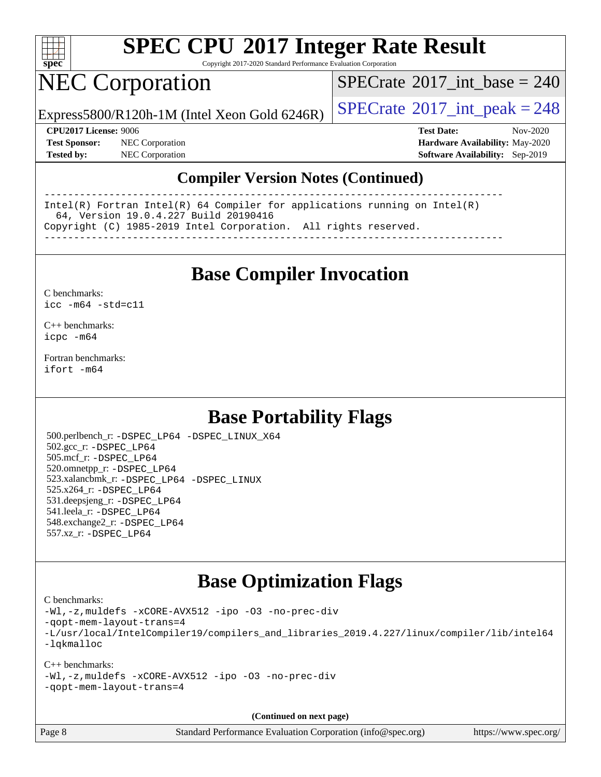

Copyright 2017-2020 Standard Performance Evaluation Corporation

## NEC Corporation

 $SPECTate$ <sup>®</sup>[2017\\_int\\_base =](http://www.spec.org/auto/cpu2017/Docs/result-fields.html#SPECrate2017intbase) 240

Express5800/R120h-1M (Intel Xeon Gold 6246R)  $\vert$  [SPECrate](http://www.spec.org/auto/cpu2017/Docs/result-fields.html#SPECrate2017intpeak)®[2017\\_int\\_peak = 2](http://www.spec.org/auto/cpu2017/Docs/result-fields.html#SPECrate2017intpeak)48

**[Test Sponsor:](http://www.spec.org/auto/cpu2017/Docs/result-fields.html#TestSponsor)** NEC Corporation **[Hardware Availability:](http://www.spec.org/auto/cpu2017/Docs/result-fields.html#HardwareAvailability)** May-2020

**[CPU2017 License:](http://www.spec.org/auto/cpu2017/Docs/result-fields.html#CPU2017License)** 9006 **[Test Date:](http://www.spec.org/auto/cpu2017/Docs/result-fields.html#TestDate)** Nov-2020 **[Tested by:](http://www.spec.org/auto/cpu2017/Docs/result-fields.html#Testedby)** NEC Corporation **[Software Availability:](http://www.spec.org/auto/cpu2017/Docs/result-fields.html#SoftwareAvailability)** Sep-2019

### **[Compiler Version Notes \(Continued\)](http://www.spec.org/auto/cpu2017/Docs/result-fields.html#CompilerVersionNotes)**

------------------------------------------------------------------------------ Intel(R) Fortran Intel(R) 64 Compiler for applications running on Intel(R) 64, Version 19.0.4.227 Build 20190416 Copyright (C) 1985-2019 Intel Corporation. All rights reserved. ------------------------------------------------------------------------------

**[Base Compiler Invocation](http://www.spec.org/auto/cpu2017/Docs/result-fields.html#BaseCompilerInvocation)**

[C benchmarks](http://www.spec.org/auto/cpu2017/Docs/result-fields.html#Cbenchmarks): [icc -m64 -std=c11](http://www.spec.org/cpu2017/results/res2020q4/cpu2017-20201109-24350.flags.html#user_CCbase_intel_icc_64bit_c11_33ee0cdaae7deeeab2a9725423ba97205ce30f63b9926c2519791662299b76a0318f32ddfffdc46587804de3178b4f9328c46fa7c2b0cd779d7a61945c91cd35)

[C++ benchmarks:](http://www.spec.org/auto/cpu2017/Docs/result-fields.html#CXXbenchmarks) [icpc -m64](http://www.spec.org/cpu2017/results/res2020q4/cpu2017-20201109-24350.flags.html#user_CXXbase_intel_icpc_64bit_4ecb2543ae3f1412ef961e0650ca070fec7b7afdcd6ed48761b84423119d1bf6bdf5cad15b44d48e7256388bc77273b966e5eb805aefd121eb22e9299b2ec9d9)

[Fortran benchmarks](http://www.spec.org/auto/cpu2017/Docs/result-fields.html#Fortranbenchmarks): [ifort -m64](http://www.spec.org/cpu2017/results/res2020q4/cpu2017-20201109-24350.flags.html#user_FCbase_intel_ifort_64bit_24f2bb282fbaeffd6157abe4f878425411749daecae9a33200eee2bee2fe76f3b89351d69a8130dd5949958ce389cf37ff59a95e7a40d588e8d3a57e0c3fd751)

### **[Base Portability Flags](http://www.spec.org/auto/cpu2017/Docs/result-fields.html#BasePortabilityFlags)**

 500.perlbench\_r: [-DSPEC\\_LP64](http://www.spec.org/cpu2017/results/res2020q4/cpu2017-20201109-24350.flags.html#b500.perlbench_r_basePORTABILITY_DSPEC_LP64) [-DSPEC\\_LINUX\\_X64](http://www.spec.org/cpu2017/results/res2020q4/cpu2017-20201109-24350.flags.html#b500.perlbench_r_baseCPORTABILITY_DSPEC_LINUX_X64) 502.gcc\_r: [-DSPEC\\_LP64](http://www.spec.org/cpu2017/results/res2020q4/cpu2017-20201109-24350.flags.html#suite_basePORTABILITY502_gcc_r_DSPEC_LP64) 505.mcf\_r: [-DSPEC\\_LP64](http://www.spec.org/cpu2017/results/res2020q4/cpu2017-20201109-24350.flags.html#suite_basePORTABILITY505_mcf_r_DSPEC_LP64) 520.omnetpp\_r: [-DSPEC\\_LP64](http://www.spec.org/cpu2017/results/res2020q4/cpu2017-20201109-24350.flags.html#suite_basePORTABILITY520_omnetpp_r_DSPEC_LP64) 523.xalancbmk\_r: [-DSPEC\\_LP64](http://www.spec.org/cpu2017/results/res2020q4/cpu2017-20201109-24350.flags.html#suite_basePORTABILITY523_xalancbmk_r_DSPEC_LP64) [-DSPEC\\_LINUX](http://www.spec.org/cpu2017/results/res2020q4/cpu2017-20201109-24350.flags.html#b523.xalancbmk_r_baseCXXPORTABILITY_DSPEC_LINUX) 525.x264\_r: [-DSPEC\\_LP64](http://www.spec.org/cpu2017/results/res2020q4/cpu2017-20201109-24350.flags.html#suite_basePORTABILITY525_x264_r_DSPEC_LP64) 531.deepsjeng\_r: [-DSPEC\\_LP64](http://www.spec.org/cpu2017/results/res2020q4/cpu2017-20201109-24350.flags.html#suite_basePORTABILITY531_deepsjeng_r_DSPEC_LP64) 541.leela\_r: [-DSPEC\\_LP64](http://www.spec.org/cpu2017/results/res2020q4/cpu2017-20201109-24350.flags.html#suite_basePORTABILITY541_leela_r_DSPEC_LP64) 548.exchange2\_r: [-DSPEC\\_LP64](http://www.spec.org/cpu2017/results/res2020q4/cpu2017-20201109-24350.flags.html#suite_basePORTABILITY548_exchange2_r_DSPEC_LP64) 557.xz\_r: [-DSPEC\\_LP64](http://www.spec.org/cpu2017/results/res2020q4/cpu2017-20201109-24350.flags.html#suite_basePORTABILITY557_xz_r_DSPEC_LP64)

### **[Base Optimization Flags](http://www.spec.org/auto/cpu2017/Docs/result-fields.html#BaseOptimizationFlags)**

[C benchmarks](http://www.spec.org/auto/cpu2017/Docs/result-fields.html#Cbenchmarks):

[-Wl,-z,muldefs](http://www.spec.org/cpu2017/results/res2020q4/cpu2017-20201109-24350.flags.html#user_CCbase_link_force_multiple1_b4cbdb97b34bdee9ceefcfe54f4c8ea74255f0b02a4b23e853cdb0e18eb4525ac79b5a88067c842dd0ee6996c24547a27a4b99331201badda8798ef8a743f577) [-xCORE-AVX512](http://www.spec.org/cpu2017/results/res2020q4/cpu2017-20201109-24350.flags.html#user_CCbase_f-xCORE-AVX512) [-ipo](http://www.spec.org/cpu2017/results/res2020q4/cpu2017-20201109-24350.flags.html#user_CCbase_f-ipo) [-O3](http://www.spec.org/cpu2017/results/res2020q4/cpu2017-20201109-24350.flags.html#user_CCbase_f-O3) [-no-prec-div](http://www.spec.org/cpu2017/results/res2020q4/cpu2017-20201109-24350.flags.html#user_CCbase_f-no-prec-div) [-qopt-mem-layout-trans=4](http://www.spec.org/cpu2017/results/res2020q4/cpu2017-20201109-24350.flags.html#user_CCbase_f-qopt-mem-layout-trans_fa39e755916c150a61361b7846f310bcdf6f04e385ef281cadf3647acec3f0ae266d1a1d22d972a7087a248fd4e6ca390a3634700869573d231a252c784941a8) [-L/usr/local/IntelCompiler19/compilers\\_and\\_libraries\\_2019.4.227/linux/compiler/lib/intel64](http://www.spec.org/cpu2017/results/res2020q4/cpu2017-20201109-24350.flags.html#user_CCbase_qkmalloc_link_0ffe0cb02c68ef1b443a077c7888c10c67ca0d1dd7138472156f06a085bbad385f78d49618ad55dca9db3b1608e84afc2f69b4003b1d1ca498a9fc1462ccefda) [-lqkmalloc](http://www.spec.org/cpu2017/results/res2020q4/cpu2017-20201109-24350.flags.html#user_CCbase_qkmalloc_link_lib_79a818439969f771c6bc311cfd333c00fc099dad35c030f5aab9dda831713d2015205805422f83de8875488a2991c0a156aaa600e1f9138f8fc37004abc96dc5)

[C++ benchmarks](http://www.spec.org/auto/cpu2017/Docs/result-fields.html#CXXbenchmarks): [-Wl,-z,muldefs](http://www.spec.org/cpu2017/results/res2020q4/cpu2017-20201109-24350.flags.html#user_CXXbase_link_force_multiple1_b4cbdb97b34bdee9ceefcfe54f4c8ea74255f0b02a4b23e853cdb0e18eb4525ac79b5a88067c842dd0ee6996c24547a27a4b99331201badda8798ef8a743f577) [-xCORE-AVX512](http://www.spec.org/cpu2017/results/res2020q4/cpu2017-20201109-24350.flags.html#user_CXXbase_f-xCORE-AVX512) [-ipo](http://www.spec.org/cpu2017/results/res2020q4/cpu2017-20201109-24350.flags.html#user_CXXbase_f-ipo) [-O3](http://www.spec.org/cpu2017/results/res2020q4/cpu2017-20201109-24350.flags.html#user_CXXbase_f-O3) [-no-prec-div](http://www.spec.org/cpu2017/results/res2020q4/cpu2017-20201109-24350.flags.html#user_CXXbase_f-no-prec-div) [-qopt-mem-layout-trans=4](http://www.spec.org/cpu2017/results/res2020q4/cpu2017-20201109-24350.flags.html#user_CXXbase_f-qopt-mem-layout-trans_fa39e755916c150a61361b7846f310bcdf6f04e385ef281cadf3647acec3f0ae266d1a1d22d972a7087a248fd4e6ca390a3634700869573d231a252c784941a8)

**(Continued on next page)**

Page 8 Standard Performance Evaluation Corporation [\(info@spec.org\)](mailto:info@spec.org) <https://www.spec.org/>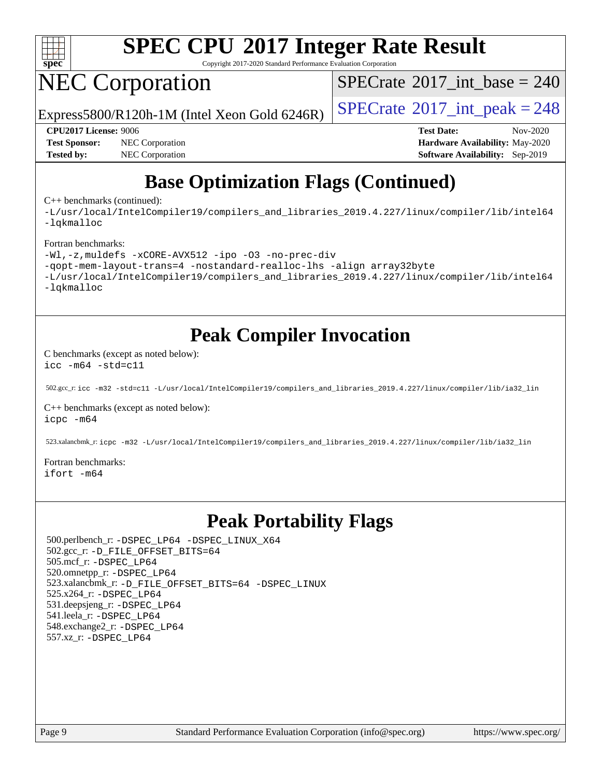

Copyright 2017-2020 Standard Performance Evaluation Corporation

# NEC Corporation

 $SPECTate$ <sup>®</sup>[2017\\_int\\_base =](http://www.spec.org/auto/cpu2017/Docs/result-fields.html#SPECrate2017intbase) 240

Express5800/R120h-1M (Intel Xeon Gold 6246R)  $\left|$  [SPECrate](http://www.spec.org/auto/cpu2017/Docs/result-fields.html#SPECrate2017intpeak)<sup>®</sup>[2017\\_int\\_peak = 2](http://www.spec.org/auto/cpu2017/Docs/result-fields.html#SPECrate2017intpeak)48

**[Test Sponsor:](http://www.spec.org/auto/cpu2017/Docs/result-fields.html#TestSponsor)** NEC Corporation **[Hardware Availability:](http://www.spec.org/auto/cpu2017/Docs/result-fields.html#HardwareAvailability)** May-2020 **[Tested by:](http://www.spec.org/auto/cpu2017/Docs/result-fields.html#Testedby)** NEC Corporation **[Software Availability:](http://www.spec.org/auto/cpu2017/Docs/result-fields.html#SoftwareAvailability)** Sep-2019

**[CPU2017 License:](http://www.spec.org/auto/cpu2017/Docs/result-fields.html#CPU2017License)** 9006 **[Test Date:](http://www.spec.org/auto/cpu2017/Docs/result-fields.html#TestDate)** Nov-2020

### **[Base Optimization Flags \(Continued\)](http://www.spec.org/auto/cpu2017/Docs/result-fields.html#BaseOptimizationFlags)**

[C++ benchmarks](http://www.spec.org/auto/cpu2017/Docs/result-fields.html#CXXbenchmarks) (continued):

[-L/usr/local/IntelCompiler19/compilers\\_and\\_libraries\\_2019.4.227/linux/compiler/lib/intel64](http://www.spec.org/cpu2017/results/res2020q4/cpu2017-20201109-24350.flags.html#user_CXXbase_qkmalloc_link_0ffe0cb02c68ef1b443a077c7888c10c67ca0d1dd7138472156f06a085bbad385f78d49618ad55dca9db3b1608e84afc2f69b4003b1d1ca498a9fc1462ccefda) [-lqkmalloc](http://www.spec.org/cpu2017/results/res2020q4/cpu2017-20201109-24350.flags.html#user_CXXbase_qkmalloc_link_lib_79a818439969f771c6bc311cfd333c00fc099dad35c030f5aab9dda831713d2015205805422f83de8875488a2991c0a156aaa600e1f9138f8fc37004abc96dc5)

#### [Fortran benchmarks:](http://www.spec.org/auto/cpu2017/Docs/result-fields.html#Fortranbenchmarks)

```
-Wl,-z,muldefs -xCORE-AVX512 -ipo -O3 -no-prec-div
-qopt-mem-layout-trans=4 -nostandard-realloc-lhs -align array32byte
-L/usr/local/IntelCompiler19/compilers_and_libraries_2019.4.227/linux/compiler/lib/intel64
-lqkmalloc
```
### **[Peak Compiler Invocation](http://www.spec.org/auto/cpu2017/Docs/result-fields.html#PeakCompilerInvocation)**

[C benchmarks \(except as noted below\)](http://www.spec.org/auto/cpu2017/Docs/result-fields.html#Cbenchmarksexceptasnotedbelow): [icc -m64 -std=c11](http://www.spec.org/cpu2017/results/res2020q4/cpu2017-20201109-24350.flags.html#user_CCpeak_intel_icc_64bit_c11_33ee0cdaae7deeeab2a9725423ba97205ce30f63b9926c2519791662299b76a0318f32ddfffdc46587804de3178b4f9328c46fa7c2b0cd779d7a61945c91cd35)

502.gcc\_r: [icc -m32 -std=c11 -L/usr/local/IntelCompiler19/compilers\\_and\\_libraries\\_2019.4.227/linux/compiler/lib/ia32\\_lin](http://www.spec.org/cpu2017/results/res2020q4/cpu2017-20201109-24350.flags.html#user_peakCCLD502_gcc_r_intel_icc_38a193a897536fa645efb1dc6ac2bea2bddbbe56f130e144a606d1b2649003f27c79f8814020c1f9355cbbf0d7ab0d194a7a979ee1e2a95641bbb8cf571aac7b)

[C++ benchmarks \(except as noted below\)](http://www.spec.org/auto/cpu2017/Docs/result-fields.html#CXXbenchmarksexceptasnotedbelow): [icpc -m64](http://www.spec.org/cpu2017/results/res2020q4/cpu2017-20201109-24350.flags.html#user_CXXpeak_intel_icpc_64bit_4ecb2543ae3f1412ef961e0650ca070fec7b7afdcd6ed48761b84423119d1bf6bdf5cad15b44d48e7256388bc77273b966e5eb805aefd121eb22e9299b2ec9d9)

523.xalancbmk\_r: [icpc -m32 -L/usr/local/IntelCompiler19/compilers\\_and\\_libraries\\_2019.4.227/linux/compiler/lib/ia32\\_lin](http://www.spec.org/cpu2017/results/res2020q4/cpu2017-20201109-24350.flags.html#user_peakCXXLD523_xalancbmk_r_intel_icpc_840f965b38320ad10acba6032d6ca4c816e722c432c250f3408feae347068ba449f694544a48cf12cd3bde3495e328e6747ab0f629c2925d3062e2ee144af951)

[Fortran benchmarks](http://www.spec.org/auto/cpu2017/Docs/result-fields.html#Fortranbenchmarks): [ifort -m64](http://www.spec.org/cpu2017/results/res2020q4/cpu2017-20201109-24350.flags.html#user_FCpeak_intel_ifort_64bit_24f2bb282fbaeffd6157abe4f878425411749daecae9a33200eee2bee2fe76f3b89351d69a8130dd5949958ce389cf37ff59a95e7a40d588e8d3a57e0c3fd751)

### **[Peak Portability Flags](http://www.spec.org/auto/cpu2017/Docs/result-fields.html#PeakPortabilityFlags)**

 500.perlbench\_r: [-DSPEC\\_LP64](http://www.spec.org/cpu2017/results/res2020q4/cpu2017-20201109-24350.flags.html#b500.perlbench_r_peakPORTABILITY_DSPEC_LP64) [-DSPEC\\_LINUX\\_X64](http://www.spec.org/cpu2017/results/res2020q4/cpu2017-20201109-24350.flags.html#b500.perlbench_r_peakCPORTABILITY_DSPEC_LINUX_X64) 502.gcc\_r: [-D\\_FILE\\_OFFSET\\_BITS=64](http://www.spec.org/cpu2017/results/res2020q4/cpu2017-20201109-24350.flags.html#user_peakPORTABILITY502_gcc_r_file_offset_bits_64_5ae949a99b284ddf4e95728d47cb0843d81b2eb0e18bdfe74bbf0f61d0b064f4bda2f10ea5eb90e1dcab0e84dbc592acfc5018bc955c18609f94ddb8d550002c) 505.mcf\_r: [-DSPEC\\_LP64](http://www.spec.org/cpu2017/results/res2020q4/cpu2017-20201109-24350.flags.html#suite_peakPORTABILITY505_mcf_r_DSPEC_LP64) 520.omnetpp\_r: [-DSPEC\\_LP64](http://www.spec.org/cpu2017/results/res2020q4/cpu2017-20201109-24350.flags.html#suite_peakPORTABILITY520_omnetpp_r_DSPEC_LP64) 523.xalancbmk\_r: [-D\\_FILE\\_OFFSET\\_BITS=64](http://www.spec.org/cpu2017/results/res2020q4/cpu2017-20201109-24350.flags.html#user_peakPORTABILITY523_xalancbmk_r_file_offset_bits_64_5ae949a99b284ddf4e95728d47cb0843d81b2eb0e18bdfe74bbf0f61d0b064f4bda2f10ea5eb90e1dcab0e84dbc592acfc5018bc955c18609f94ddb8d550002c) [-DSPEC\\_LINUX](http://www.spec.org/cpu2017/results/res2020q4/cpu2017-20201109-24350.flags.html#b523.xalancbmk_r_peakCXXPORTABILITY_DSPEC_LINUX) 525.x264\_r: [-DSPEC\\_LP64](http://www.spec.org/cpu2017/results/res2020q4/cpu2017-20201109-24350.flags.html#suite_peakPORTABILITY525_x264_r_DSPEC_LP64) 531.deepsjeng\_r: [-DSPEC\\_LP64](http://www.spec.org/cpu2017/results/res2020q4/cpu2017-20201109-24350.flags.html#suite_peakPORTABILITY531_deepsjeng_r_DSPEC_LP64) 541.leela\_r: [-DSPEC\\_LP64](http://www.spec.org/cpu2017/results/res2020q4/cpu2017-20201109-24350.flags.html#suite_peakPORTABILITY541_leela_r_DSPEC_LP64) 548.exchange2\_r: [-DSPEC\\_LP64](http://www.spec.org/cpu2017/results/res2020q4/cpu2017-20201109-24350.flags.html#suite_peakPORTABILITY548_exchange2_r_DSPEC_LP64) 557.xz\_r: [-DSPEC\\_LP64](http://www.spec.org/cpu2017/results/res2020q4/cpu2017-20201109-24350.flags.html#suite_peakPORTABILITY557_xz_r_DSPEC_LP64)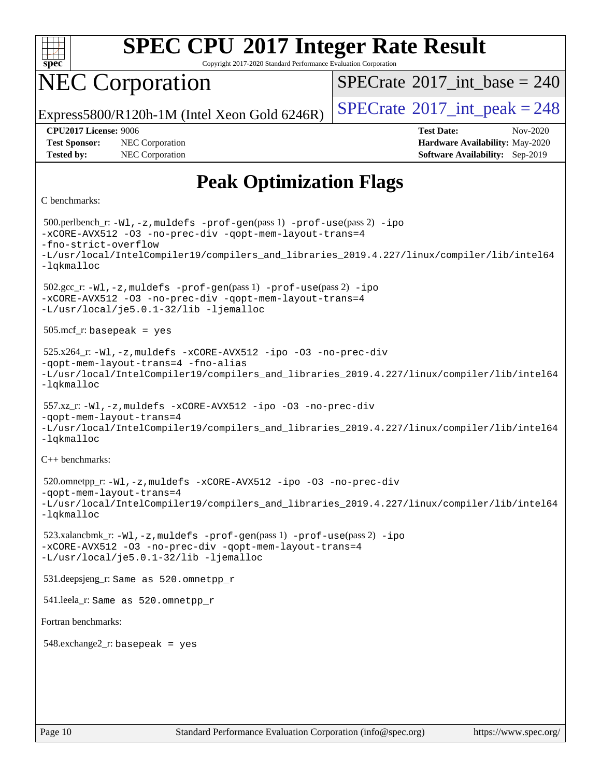

Copyright 2017-2020 Standard Performance Evaluation Corporation

### NEC Corporation

 $SPECTate$ <sup>®</sup>[2017\\_int\\_base =](http://www.spec.org/auto/cpu2017/Docs/result-fields.html#SPECrate2017intbase) 240

Express5800/R120h-1M (Intel Xeon Gold 6246R)  $\vert$  [SPECrate](http://www.spec.org/auto/cpu2017/Docs/result-fields.html#SPECrate2017intpeak)<sup>®</sup>[2017\\_int\\_peak = 2](http://www.spec.org/auto/cpu2017/Docs/result-fields.html#SPECrate2017intpeak)48

**[Tested by:](http://www.spec.org/auto/cpu2017/Docs/result-fields.html#Testedby)** NEC Corporation **[Software Availability:](http://www.spec.org/auto/cpu2017/Docs/result-fields.html#SoftwareAvailability)** Sep-2019

**[CPU2017 License:](http://www.spec.org/auto/cpu2017/Docs/result-fields.html#CPU2017License)** 9006 **[Test Date:](http://www.spec.org/auto/cpu2017/Docs/result-fields.html#TestDate)** Nov-2020 **[Test Sponsor:](http://www.spec.org/auto/cpu2017/Docs/result-fields.html#TestSponsor)** NEC Corporation **[Hardware Availability:](http://www.spec.org/auto/cpu2017/Docs/result-fields.html#HardwareAvailability)** May-2020

### **[Peak Optimization Flags](http://www.spec.org/auto/cpu2017/Docs/result-fields.html#PeakOptimizationFlags)**

#### [C benchmarks](http://www.spec.org/auto/cpu2017/Docs/result-fields.html#Cbenchmarks):

```
 500.perlbench_r: -Wl,-z,muldefs -prof-gen(pass 1) -prof-use(pass 2) -ipo
-xCORE-AVX512 -O3 -no-prec-div -qopt-mem-layout-trans=4
-fno-strict-overflow
-L/usr/local/IntelCompiler19/compilers_and_libraries_2019.4.227/linux/compiler/lib/intel64
-lqkmalloc
 502.gcc_r: -Wl,-z,muldefs -prof-gen(pass 1) -prof-use(pass 2) -ipo
-xCORE-AVX512 -O3 -no-prec-div -qopt-mem-layout-trans=4
-L/usr/local/je5.0.1-32/lib -ljemalloc
 505.mcf_r: basepeak = yes
 525.x264_r: -Wl,-z,muldefs -xCORE-AVX512 -ipo -O3 -no-prec-div
-qopt-mem-layout-trans=4 -fno-alias
-L/usr/local/IntelCompiler19/compilers_and_libraries_2019.4.227/linux/compiler/lib/intel64
-lqkmalloc
 557.xz_r: -Wl,-z,muldefs -xCORE-AVX512 -ipo -O3 -no-prec-div
-qopt-mem-layout-trans=4
-L/usr/local/IntelCompiler19/compilers_and_libraries_2019.4.227/linux/compiler/lib/intel64
-lqkmalloc
C++ benchmarks: 
 520.omnetpp_r: -Wl,-z,muldefs -xCORE-AVX512 -ipo -O3 -no-prec-div
-qopt-mem-layout-trans=4
-L/usr/local/IntelCompiler19/compilers_and_libraries_2019.4.227/linux/compiler/lib/intel64
-lqkmalloc
 523.xalancbmk_r: -Wl,-z,muldefs -prof-gen(pass 1) -prof-use(pass 2) -ipo
-xCORE-AVX512 -O3 -no-prec-div -qopt-mem-layout-trans=4
-L/usr/local/je5.0.1-32/lib -ljemalloc
 531.deepsjeng_r: Same as 520.omnetpp_r
 541.leela_r: Same as 520.omnetpp_r
Fortran benchmarks: 
548.exchange2_r: basepeak = yes
```